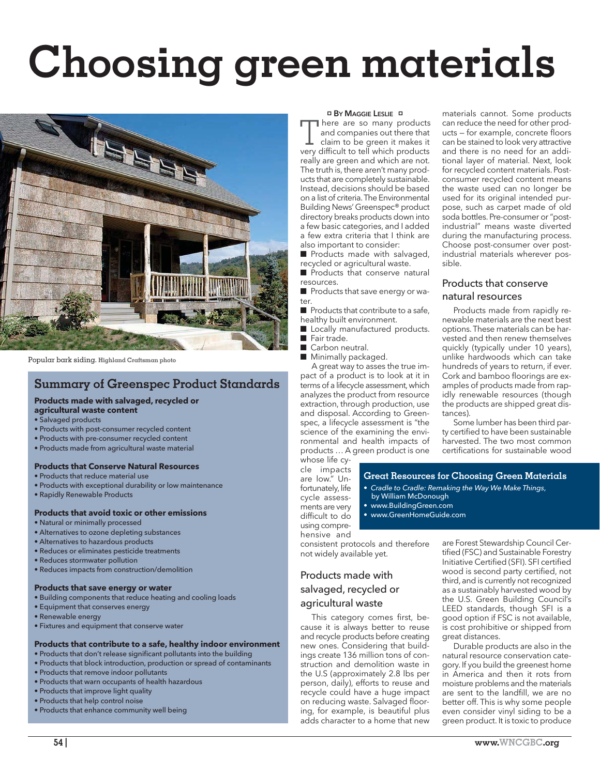# **Choosing green materials**



Popular bark siding. **Highland Craftsman photo**

## **Summary of Greenspec Product Standards**

#### **Products made with salvaged, recycled or agricultural waste content**

- Salvaged products
- Products with post-consumer recycled content
- Products with pre-consumer recycled content
- Products made from agricultural waste material

#### **Products that Conserve Natural Resources**

- Products that reduce material use
- Products with exceptional durability or low maintenance
- Rapidly Renewable Products

#### **Products that avoid toxic or other emissions**

- Natural or minimally processed
- Alternatives to ozone depleting substances
- Alternatives to hazardous products
- Reduces or eliminates pesticide treatments
- Reduces stormwater pollution
- Reduces impacts from construction/demolition

#### **Products that save energy or water**

- Building components that reduce heating and cooling loads
- Equipment that conserves energy
- Renewable energy
- Fixtures and equipment that conserve water

## **Products that contribute to a safe, healthy indoor environment**

- Products that don't release significant pollutants into the building • Products that block introduction, production or spread of contaminants
- Products that remove indoor pollutants
- Products that warn occupants of health hazardous
- Products that improve light quality
- Products that help control noise
- Products that enhance community well being

#### <sup>p</sup> **BY MAGGIE LESLIE** <sup>p</sup>

There are so many products and companies out there that claim to be green it makes it very difficult to tell which products really are green and which are not. The truth is, there aren't many products that are completely sustainable. Instead, decisions should be based on a list of criteria. The Environmental Building News' Greenspec® product directory breaks products down into a few basic categories, and I added a few extra criteria that I think are also important to consider:

■ Products made with salvaged, recycled or agricultural waste.

■ Products that conserve natural resources.

■ Products that save energy or water.

■ Products that contribute to a safe, healthy built environment.

- Locally manufactured products.
- Fair trade.
- Carbon neutral.
- Minimally packaged.

A great way to asses the true impact of a product is to look at it in terms of a lifecycle assessment, which analyzes the product from resource extraction, through production, use and disposal. According to Greenspec, a lifecycle assessment is "the science of the examining the environmental and health impacts of products … A green product is one

materials cannot. Some products can reduce the need for other products – for example, concrete floors can be stained to look very attractive and there is no need for an additional layer of material. Next, look for recycled content materials. Postconsumer recycled content means the waste used can no longer be used for its original intended purpose, such as carpet made of old soda bottles. Pre-consumer or "postindustrial" means waste diverted during the manufacturing process. Choose post-consumer over postindustrial materials wherever possible.

## Products that conserve natural resources

Products made from rapidly renewable materials are the next best options. These materials can be harvested and then renew themselves quickly (typically under 10 years), unlike hardwoods which can take hundreds of years to return, if ever. Cork and bamboo floorings are examples of products made from rapidly renewable resources (though the products are shipped great distances).

Some lumber has been third party certified to have been sustainable harvested. The two most common certifications for sustainable wood

whose life cycle impacts are low." Unfortunately, life cycle assessments are very difficult to do using comprehensive and

• *Cradle to Cradle: Remaking the Way We Make Things*,

**Great Resources for Choosing Green Materials**

- by William McDonough • www.BuildingGreen.com
- 
- www.GreenHomeGuide.com

consistent protocols and therefore not widely available yet.

## Products made with salvaged, recycled or agricultural waste

This category comes first, because it is always better to reuse and recycle products before creating new ones. Considering that buildings create 136 million tons of construction and demolition waste in the U.S (approximately 2.8 lbs per person, daily), efforts to reuse and recycle could have a huge impact on reducing waste. Salvaged flooring, for example, is beautiful plus adds character to a home that new

are Forest Stewardship Council Certified (FSC) and Sustainable Forestry Initiative Certified (SFI). SFI certified wood is second party certified, not third, and is currently not recognized as a sustainably harvested wood by the U.S. Green Building Council's LEED standards, though SFI is a good option if FSC is not available, is cost prohibitive or shipped from great distances.

Durable products are also in the natural resource conservation category. If you build the greenest home in America and then it rots from moisture problems and the materials are sent to the landfill, we are no better off. This is why some people even consider vinyl siding to be a green product. It is toxic to produce